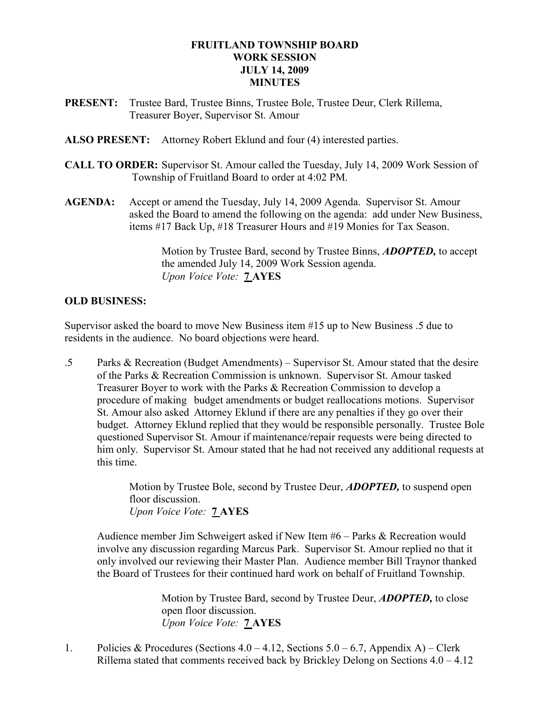# FRUITLAND TOWNSHIP BOARD WORK SESSION JULY 14, 2009 MINUTES

- PRESENT: Trustee Bard, Trustee Binns, Trustee Bole, Trustee Deur, Clerk Rillema, Treasurer Boyer, Supervisor St. Amour
- ALSO PRESENT: Attorney Robert Eklund and four (4) interested parties.
- CALL TO ORDER: Supervisor St. Amour called the Tuesday, July 14, 2009 Work Session of Township of Fruitland Board to order at 4:02 PM.
- AGENDA: Accept or amend the Tuesday, July 14, 2009 Agenda. Supervisor St. Amour asked the Board to amend the following on the agenda: add under New Business, items #17 Back Up, #18 Treasurer Hours and #19 Monies for Tax Season.

Motion by Trustee Bard, second by Trustee Binns, **ADOPTED**, to accept the amended July 14, 2009 Work Session agenda. Upon Voice Vote: 7 AYES

# OLD BUSINESS:

Supervisor asked the board to move New Business item #15 up to New Business .5 due to residents in the audience. No board objections were heard.

.5 Parks & Recreation (Budget Amendments) – Supervisor St. Amour stated that the desire of the Parks & Recreation Commission is unknown. Supervisor St. Amour tasked Treasurer Boyer to work with the Parks & Recreation Commission to develop a procedure of making budget amendments or budget reallocations motions. Supervisor St. Amour also asked Attorney Eklund if there are any penalties if they go over their budget. Attorney Eklund replied that they would be responsible personally. Trustee Bole questioned Supervisor St. Amour if maintenance/repair requests were being directed to him only. Supervisor St. Amour stated that he had not received any additional requests at this time.

> Motion by Trustee Bole, second by Trustee Deur, **ADOPTED**, to suspend open floor discussion. Upon Voice Vote: 7 AYES

Audience member Jim Schweigert asked if New Item #6 – Parks & Recreation would involve any discussion regarding Marcus Park. Supervisor St. Amour replied no that it only involved our reviewing their Master Plan. Audience member Bill Traynor thanked the Board of Trustees for their continued hard work on behalf of Fruitland Township.

> Motion by Trustee Bard, second by Trustee Deur, ADOPTED, to close open floor discussion. Upon Voice Vote: 7 AYES

1. Policies & Procedures (Sections 4.0 – 4.12, Sections 5.0 – 6.7, Appendix A) – Clerk Rillema stated that comments received back by Brickley Delong on Sections 4.0 – 4.12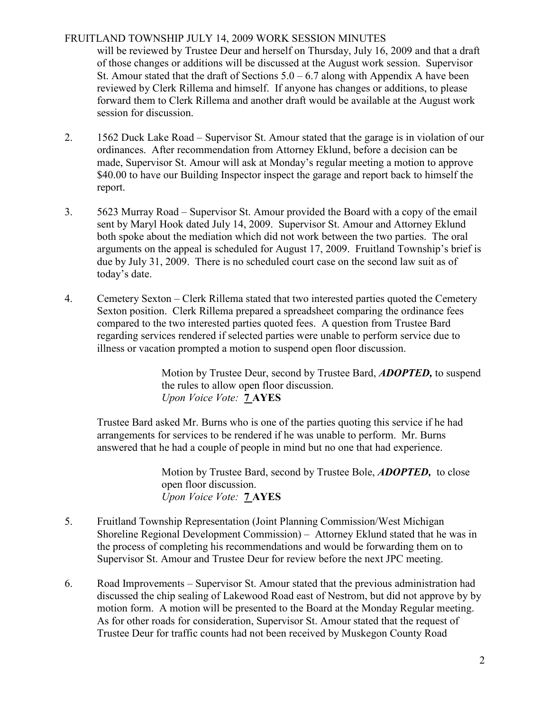# FRUITLAND TOWNSHIP JULY 14, 2009 WORK SESSION MINUTES

 will be reviewed by Trustee Deur and herself on Thursday, July 16, 2009 and that a draft of those changes or additions will be discussed at the August work session. Supervisor St. Amour stated that the draft of Sections  $5.0 - 6.7$  along with Appendix A have been reviewed by Clerk Rillema and himself. If anyone has changes or additions, to please forward them to Clerk Rillema and another draft would be available at the August work session for discussion.

- 2. 1562 Duck Lake Road Supervisor St. Amour stated that the garage is in violation of our ordinances. After recommendation from Attorney Eklund, before a decision can be made, Supervisor St. Amour will ask at Monday's regular meeting a motion to approve \$40.00 to have our Building Inspector inspect the garage and report back to himself the report.
- 3. 5623 Murray Road Supervisor St. Amour provided the Board with a copy of the email sent by Maryl Hook dated July 14, 2009. Supervisor St. Amour and Attorney Eklund both spoke about the mediation which did not work between the two parties. The oral arguments on the appeal is scheduled for August 17, 2009. Fruitland Township's brief is due by July 31, 2009. There is no scheduled court case on the second law suit as of today's date.
- 4. Cemetery Sexton Clerk Rillema stated that two interested parties quoted the Cemetery Sexton position. Clerk Rillema prepared a spreadsheet comparing the ordinance fees compared to the two interested parties quoted fees. A question from Trustee Bard regarding services rendered if selected parties were unable to perform service due to illness or vacation prompted a motion to suspend open floor discussion.

Motion by Trustee Deur, second by Trustee Bard, **ADOPTED**, to suspend the rules to allow open floor discussion. Upon Voice Vote: **7 AYES** 

Trustee Bard asked Mr. Burns who is one of the parties quoting this service if he had arrangements for services to be rendered if he was unable to perform. Mr. Burns answered that he had a couple of people in mind but no one that had experience.

> Motion by Trustee Bard, second by Trustee Bole, **ADOPTED**, to close open floor discussion. Upon Voice Vote: 7 AYES

- 5. Fruitland Township Representation (Joint Planning Commission/West Michigan Shoreline Regional Development Commission) – Attorney Eklund stated that he was in the process of completing his recommendations and would be forwarding them on to Supervisor St. Amour and Trustee Deur for review before the next JPC meeting.
- 6. Road Improvements Supervisor St. Amour stated that the previous administration had discussed the chip sealing of Lakewood Road east of Nestrom, but did not approve by by motion form. A motion will be presented to the Board at the Monday Regular meeting. As for other roads for consideration, Supervisor St. Amour stated that the request of Trustee Deur for traffic counts had not been received by Muskegon County Road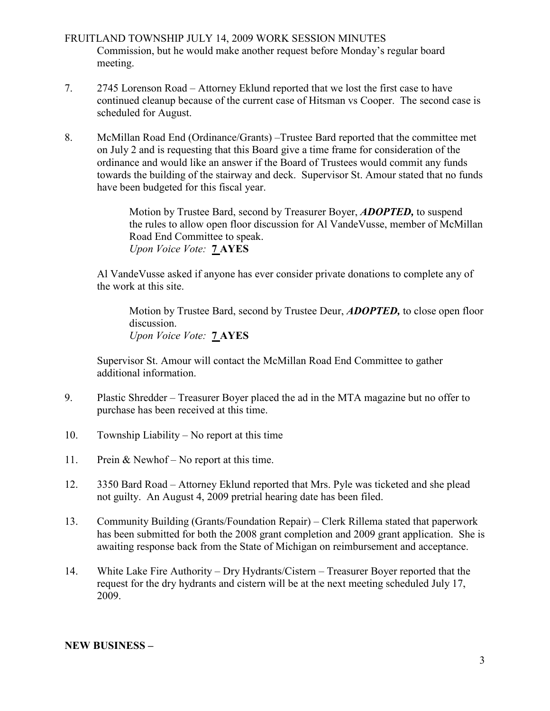- FRUITLAND TOWNSHIP JULY 14, 2009 WORK SESSION MINUTES Commission, but he would make another request before Monday's regular board meeting.
- 7. 2745 Lorenson Road Attorney Eklund reported that we lost the first case to have continued cleanup because of the current case of Hitsman vs Cooper. The second case is scheduled for August.
- 8. McMillan Road End (Ordinance/Grants) –Trustee Bard reported that the committee met on July 2 and is requesting that this Board give a time frame for consideration of the ordinance and would like an answer if the Board of Trustees would commit any funds towards the building of the stairway and deck. Supervisor St. Amour stated that no funds have been budgeted for this fiscal year.

Motion by Trustee Bard, second by Treasurer Boyer, **ADOPTED**, to suspend the rules to allow open floor discussion for Al VandeVusse, member of McMillan Road End Committee to speak. Upon Voice Vote: 7 AYES

Al VandeVusse asked if anyone has ever consider private donations to complete any of the work at this site.

Motion by Trustee Bard, second by Trustee Deur, **ADOPTED**, to close open floor discussion. Upon Voice Vote: **7 AYES** 

Supervisor St. Amour will contact the McMillan Road End Committee to gather additional information.

- 9. Plastic Shredder Treasurer Boyer placed the ad in the MTA magazine but no offer to purchase has been received at this time.
- 10. Township Liability No report at this time
- 11. Prein & Newhof No report at this time.
- 12. 3350 Bard Road Attorney Eklund reported that Mrs. Pyle was ticketed and she plead not guilty. An August 4, 2009 pretrial hearing date has been filed.
- 13. Community Building (Grants/Foundation Repair) Clerk Rillema stated that paperwork has been submitted for both the 2008 grant completion and 2009 grant application. She is awaiting response back from the State of Michigan on reimbursement and acceptance.
- 14. White Lake Fire Authority Dry Hydrants/Cistern Treasurer Boyer reported that the request for the dry hydrants and cistern will be at the next meeting scheduled July 17, 2009.

#### NEW BUSINESS –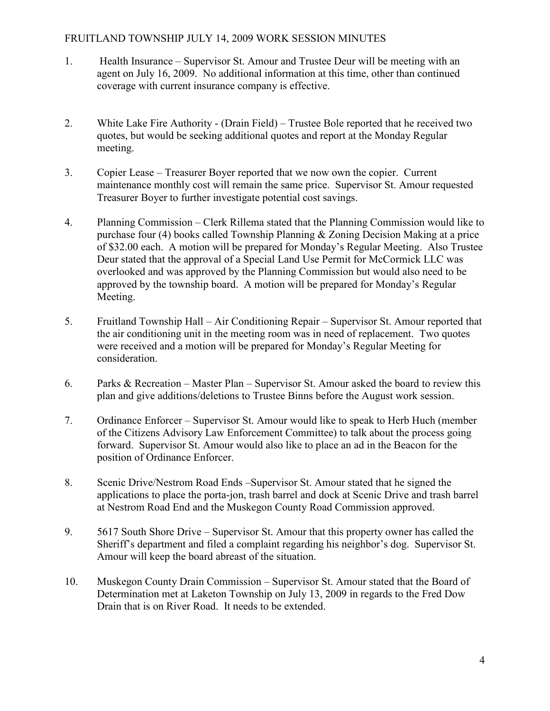### FRUITLAND TOWNSHIP JULY 14, 2009 WORK SESSION MINUTES

- 1. Health Insurance Supervisor St. Amour and Trustee Deur will be meeting with an agent on July 16, 2009. No additional information at this time, other than continued coverage with current insurance company is effective.
- 2. White Lake Fire Authority (Drain Field) Trustee Bole reported that he received two quotes, but would be seeking additional quotes and report at the Monday Regular meeting.
- 3. Copier Lease Treasurer Boyer reported that we now own the copier. Current maintenance monthly cost will remain the same price. Supervisor St. Amour requested Treasurer Boyer to further investigate potential cost savings.
- 4. Planning Commission Clerk Rillema stated that the Planning Commission would like to purchase four (4) books called Township Planning & Zoning Decision Making at a price of \$32.00 each. A motion will be prepared for Monday's Regular Meeting. Also Trustee Deur stated that the approval of a Special Land Use Permit for McCormick LLC was overlooked and was approved by the Planning Commission but would also need to be approved by the township board. A motion will be prepared for Monday's Regular Meeting.
- 5. Fruitland Township Hall Air Conditioning Repair Supervisor St. Amour reported that the air conditioning unit in the meeting room was in need of replacement. Two quotes were received and a motion will be prepared for Monday's Regular Meeting for consideration.
- 6. Parks & Recreation Master Plan Supervisor St. Amour asked the board to review this plan and give additions/deletions to Trustee Binns before the August work session.
- 7. Ordinance Enforcer Supervisor St. Amour would like to speak to Herb Huch (member of the Citizens Advisory Law Enforcement Committee) to talk about the process going forward. Supervisor St. Amour would also like to place an ad in the Beacon for the position of Ordinance Enforcer.
- 8. Scenic Drive/Nestrom Road Ends –Supervisor St. Amour stated that he signed the applications to place the porta-jon, trash barrel and dock at Scenic Drive and trash barrel at Nestrom Road End and the Muskegon County Road Commission approved.
- 9. 5617 South Shore Drive Supervisor St. Amour that this property owner has called the Sheriff's department and filed a complaint regarding his neighbor's dog. Supervisor St. Amour will keep the board abreast of the situation.
- 10. Muskegon County Drain Commission Supervisor St. Amour stated that the Board of Determination met at Laketon Township on July 13, 2009 in regards to the Fred Dow Drain that is on River Road. It needs to be extended.